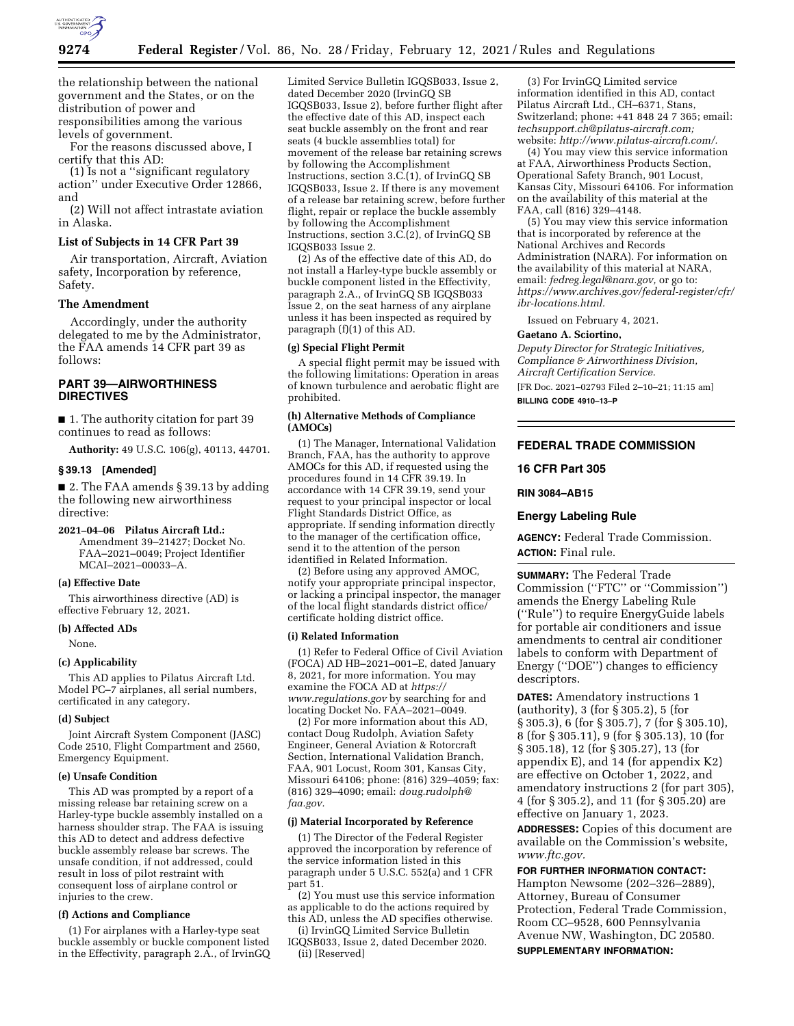

the relationship between the national government and the States, or on the distribution of power and responsibilities among the various levels of government.

For the reasons discussed above, I certify that this AD:

(1) Is not a ''significant regulatory action'' under Executive Order 12866, and

(2) Will not affect intrastate aviation in Alaska.

### **List of Subjects in 14 CFR Part 39**

Air transportation, Aircraft, Aviation safety, Incorporation by reference, Safety.

#### **The Amendment**

Accordingly, under the authority delegated to me by the Administrator, the FAA amends 14 CFR part 39 as follows:

# **PART 39—AIRWORTHINESS DIRECTIVES**

■ 1. The authority citation for part 39 continues to read as follows:

**Authority:** 49 U.S.C. 106(g), 40113, 44701.

#### **§ 39.13 [Amended]**

■ 2. The FAA amends § 39.13 by adding the following new airworthiness directive:

**2021–04–06 Pilatus Aircraft Ltd.:**  Amendment 39–21427; Docket No. FAA–2021–0049; Project Identifier MCAI–2021–00033–A.

#### **(a) Effective Date**

This airworthiness directive (AD) is effective February 12, 2021.

#### **(b) Affected ADs**

None.

#### **(c) Applicability**

This AD applies to Pilatus Aircraft Ltd. Model PC–7 airplanes, all serial numbers, certificated in any category.

#### **(d) Subject**

Joint Aircraft System Component (JASC) Code 2510, Flight Compartment and 2560, Emergency Equipment.

## **(e) Unsafe Condition**

This AD was prompted by a report of a missing release bar retaining screw on a Harley-type buckle assembly installed on a harness shoulder strap. The FAA is issuing this AD to detect and address defective buckle assembly release bar screws. The unsafe condition, if not addressed, could result in loss of pilot restraint with consequent loss of airplane control or injuries to the crew.

#### **(f) Actions and Compliance**

(1) For airplanes with a Harley-type seat buckle assembly or buckle component listed in the Effectivity, paragraph 2.A., of IrvinGQ

Limited Service Bulletin IGQSB033, Issue 2, dated December 2020 (IrvinGQ SB IGQSB033, Issue 2), before further flight after the effective date of this AD, inspect each seat buckle assembly on the front and rear seats (4 buckle assemblies total) for movement of the release bar retaining screws by following the Accomplishment Instructions, section 3.C.(1), of IrvinGQ SB IGQSB033, Issue 2. If there is any movement of a release bar retaining screw, before further flight, repair or replace the buckle assembly by following the Accomplishment Instructions, section 3.C.(2), of IrvinGQ SB IGQSB033 Issue 2.

(2) As of the effective date of this AD, do not install a Harley-type buckle assembly or buckle component listed in the Effectivity, paragraph 2.A., of IrvinGQ SB IGQSB033 Issue 2, on the seat harness of any airplane unless it has been inspected as required by paragraph (f)(1) of this AD.

### **(g) Special Flight Permit**

A special flight permit may be issued with the following limitations: Operation in areas of known turbulence and aerobatic flight are prohibited.

#### **(h) Alternative Methods of Compliance (AMOCs)**

(1) The Manager, International Validation Branch, FAA, has the authority to approve AMOCs for this AD, if requested using the procedures found in 14 CFR 39.19. In accordance with 14 CFR 39.19, send your request to your principal inspector or local Flight Standards District Office, as appropriate. If sending information directly to the manager of the certification office, send it to the attention of the person identified in Related Information.

(2) Before using any approved AMOC, notify your appropriate principal inspector, or lacking a principal inspector, the manager of the local flight standards district office/ certificate holding district office.

#### **(i) Related Information**

(1) Refer to Federal Office of Civil Aviation (FOCA) AD HB–2021–001–E, dated January 8, 2021, for more information. You may examine the FOCA AD at *[https://](https://www.regulations.gov) [www.regulations.gov](https://www.regulations.gov)* by searching for and locating Docket No. FAA–2021–0049.

(2) For more information about this AD, contact Doug Rudolph, Aviation Safety Engineer, General Aviation & Rotorcraft Section, International Validation Branch, FAA, 901 Locust, Room 301, Kansas City, Missouri 64106; phone: (816) 329–4059; fax: (816) 329–4090; email: *[doug.rudolph@](mailto:doug.rudolph@faa.gov) [faa.gov.](mailto:doug.rudolph@faa.gov)* 

#### **(j) Material Incorporated by Reference**

(1) The Director of the Federal Register approved the incorporation by reference of the service information listed in this paragraph under 5 U.S.C. 552(a) and 1 CFR part 51.

(2) You must use this service information as applicable to do the actions required by this AD, unless the AD specifies otherwise. (i) IrvinGQ Limited Service Bulletin

IGQSB033, Issue 2, dated December 2020. (ii) [Reserved]

(3) For IrvinGQ Limited service information identified in this AD, contact Pilatus Aircraft Ltd., CH–6371, Stans, Switzerland; phone: +41 848 24 7 365; email: *[techsupport.ch@pilatus-aircraft.com;](mailto:techsupport.ch@pilatus-aircraft.com)*  website: *[http://www.pilatus-aircraft.com/.](http://www.pilatus-aircraft.com/)* 

(4) You may view this service information at FAA, Airworthiness Products Section, Operational Safety Branch, 901 Locust, Kansas City, Missouri 64106. For information on the availability of this material at the FAA, call (816) 329–4148.

(5) You may view this service information that is incorporated by reference at the National Archives and Records Administration (NARA). For information on the availability of this material at NARA, email: *[fedreg.legal@nara.gov,](mailto:fedreg.legal@nara.gov)* or go to: *[https://www.archives.gov/federal-register/cfr/](https://www.archives.gov/federal-register/cfr/ibr-locations.html) [ibr-locations.html.](https://www.archives.gov/federal-register/cfr/ibr-locations.html)* 

Issued on February 4, 2021.

#### **Gaetano A. Sciortino,**

*Deputy Director for Strategic Initiatives, Compliance & Airworthiness Division, Aircraft Certification Service.*  [FR Doc. 2021–02793 Filed 2–10–21; 11:15 am]

**BILLING CODE 4910–13–P** 

## **FEDERAL TRADE COMMISSION**

#### **16 CFR Part 305**

**RIN 3084–AB15** 

#### **Energy Labeling Rule**

**AGENCY:** Federal Trade Commission. **ACTION:** Final rule.

**SUMMARY:** The Federal Trade Commission (''FTC'' or ''Commission'') amends the Energy Labeling Rule (''Rule'') to require EnergyGuide labels for portable air conditioners and issue amendments to central air conditioner labels to conform with Department of Energy (''DOE'') changes to efficiency descriptors.

**DATES:** Amendatory instructions 1 (authority), 3 (for § 305.2), 5 (for § 305.3), 6 (for § 305.7), 7 (for § 305.10), 8 (for § 305.11), 9 (for § 305.13), 10 (for § 305.18), 12 (for § 305.27), 13 (for appendix E), and 14 (for appendix K2) are effective on October 1, 2022, and amendatory instructions 2 (for part 305), 4 (for § 305.2), and 11 (for § 305.20) are effective on January 1, 2023.

**ADDRESSES:** Copies of this document are available on the Commission's website, *[www.ftc.gov.](http://www.ftc.gov)* 

### **FOR FURTHER INFORMATION CONTACT:**

Hampton Newsome (202–326–2889), Attorney, Bureau of Consumer Protection, Federal Trade Commission, Room CC–9528, 600 Pennsylvania Avenue NW, Washington, DC 20580. **SUPPLEMENTARY INFORMATION:**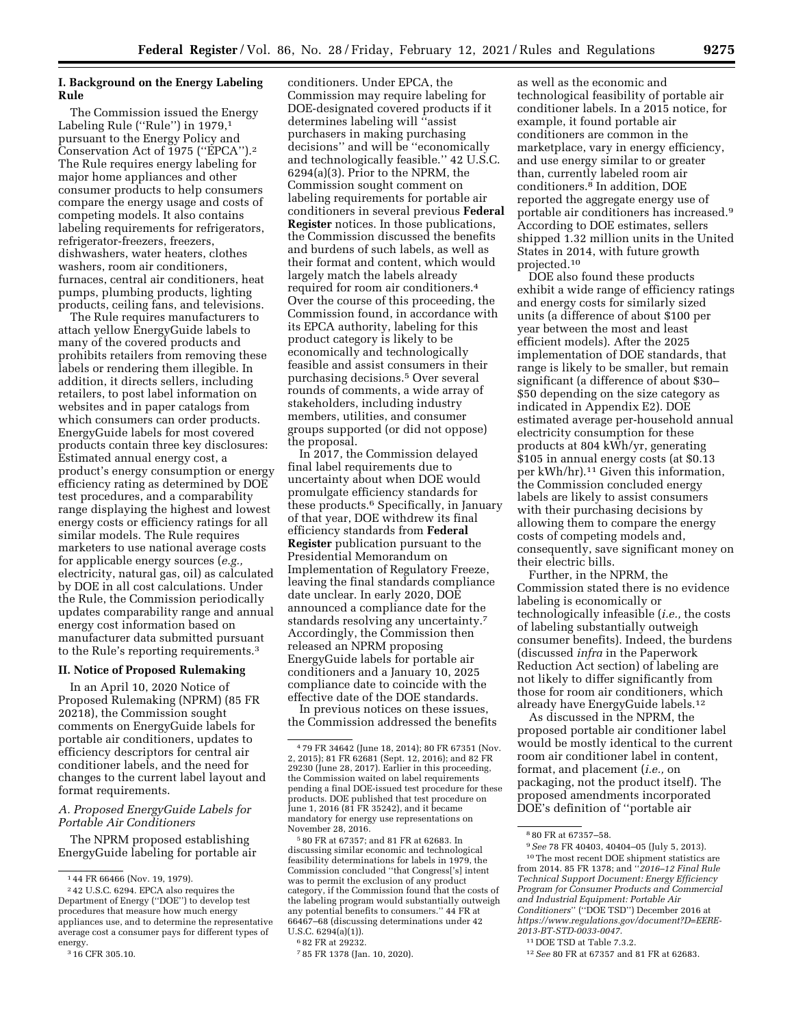## **I. Background on the Energy Labeling Rule**

The Commission issued the Energy Labeling Rule ("Rule") in 1979,<sup>1</sup> pursuant to the Energy Policy and Conservation Act of 1975 (''EPCA'').2 The Rule requires energy labeling for major home appliances and other consumer products to help consumers compare the energy usage and costs of competing models. It also contains labeling requirements for refrigerators, refrigerator-freezers, freezers, dishwashers, water heaters, clothes washers, room air conditioners, furnaces, central air conditioners, heat pumps, plumbing products, lighting products, ceiling fans, and televisions.

The Rule requires manufacturers to attach yellow EnergyGuide labels to many of the covered products and prohibits retailers from removing these labels or rendering them illegible. In addition, it directs sellers, including retailers, to post label information on websites and in paper catalogs from which consumers can order products. EnergyGuide labels for most covered products contain three key disclosures: Estimated annual energy cost, a product's energy consumption or energy efficiency rating as determined by DOE test procedures, and a comparability range displaying the highest and lowest energy costs or efficiency ratings for all similar models. The Rule requires marketers to use national average costs for applicable energy sources (*e.g.,*  electricity, natural gas, oil) as calculated by DOE in all cost calculations. Under the Rule, the Commission periodically updates comparability range and annual energy cost information based on manufacturer data submitted pursuant to the Rule's reporting requirements.3

### **II. Notice of Proposed Rulemaking**

In an April 10, 2020 Notice of Proposed Rulemaking (NPRM) (85 FR 20218), the Commission sought comments on EnergyGuide labels for portable air conditioners, updates to efficiency descriptors for central air conditioner labels, and the need for changes to the current label layout and format requirements.

### *A. Proposed EnergyGuide Labels for Portable Air Conditioners*

The NPRM proposed establishing EnergyGuide labeling for portable air

conditioners. Under EPCA, the Commission may require labeling for DOE-designated covered products if it determines labeling will ''assist purchasers in making purchasing decisions'' and will be ''economically and technologically feasible.'' 42 U.S.C. 6294(a)(3). Prior to the NPRM, the Commission sought comment on labeling requirements for portable air conditioners in several previous **Federal Register** notices. In those publications, the Commission discussed the benefits and burdens of such labels, as well as their format and content, which would largely match the labels already required for room air conditioners.4 Over the course of this proceeding, the Commission found, in accordance with its EPCA authority, labeling for this product category is likely to be economically and technologically feasible and assist consumers in their purchasing decisions.5 Over several rounds of comments, a wide array of stakeholders, including industry members, utilities, and consumer groups supported (or did not oppose) the proposal.

In 2017, the Commission delayed final label requirements due to uncertainty about when DOE would promulgate efficiency standards for these products.6 Specifically, in January of that year, DOE withdrew its final efficiency standards from **Federal Register** publication pursuant to the Presidential Memorandum on Implementation of Regulatory Freeze, leaving the final standards compliance date unclear. In early 2020, DOE announced a compliance date for the standards resolving any uncertainty.7 Accordingly, the Commission then released an NPRM proposing EnergyGuide labels for portable air conditioners and a January 10, 2025 compliance date to coincide with the effective date of the DOE standards.

In previous notices on these issues, the Commission addressed the benefits

5 80 FR at 67357; and 81 FR at 62683. In discussing similar economic and technological feasibility determinations for labels in 1979, the Commission concluded ''that Congress['s] intent was to permit the exclusion of any product category, if the Commission found that the costs of the labeling program would substantially outweigh any potential benefits to consumers.'' 44 FR at 66467–68 (discussing determinations under 42 U.S.C. 6294(a)(1)).

as well as the economic and technological feasibility of portable air conditioner labels. In a 2015 notice, for example, it found portable air conditioners are common in the marketplace, vary in energy efficiency, and use energy similar to or greater than, currently labeled room air conditioners.8 In addition, DOE reported the aggregate energy use of portable air conditioners has increased.9 According to DOE estimates, sellers shipped 1.32 million units in the United States in 2014, with future growth projected.10

DOE also found these products exhibit a wide range of efficiency ratings and energy costs for similarly sized units (a difference of about \$100 per year between the most and least efficient models). After the 2025 implementation of DOE standards, that range is likely to be smaller, but remain significant (a difference of about \$30– \$50 depending on the size category as indicated in Appendix E2). DOE estimated average per-household annual electricity consumption for these products at 804 kWh/yr, generating \$105 in annual energy costs (at \$0.13 per kWh/hr).11 Given this information, the Commission concluded energy labels are likely to assist consumers with their purchasing decisions by allowing them to compare the energy costs of competing models and, consequently, save significant money on their electric bills.

Further, in the NPRM, the Commission stated there is no evidence labeling is economically or technologically infeasible (*i.e.,* the costs of labeling substantially outweigh consumer benefits). Indeed, the burdens (discussed *infra* in the Paperwork Reduction Act section) of labeling are not likely to differ significantly from those for room air conditioners, which already have EnergyGuide labels.12

As discussed in the NPRM, the proposed portable air conditioner label would be mostly identical to the current room air conditioner label in content, format, and placement (*i.e.,* on packaging, not the product itself). The proposed amendments incorporated DOE's definition of ''portable air

<sup>1</sup> 44 FR 66466 (Nov. 19, 1979).

<sup>2</sup> 42 U.S.C. 6294. EPCA also requires the Department of Energy (''DOE'') to develop test procedures that measure how much energy appliances use, and to determine the representative average cost a consumer pays for different types of energy.

<sup>&</sup>lt;sup>3</sup> 16 CFR 305.10.

<sup>4</sup> 79 FR 34642 (June 18, 2014); 80 FR 67351 (Nov. 2, 2015); 81 FR 62681 (Sept. 12, 2016); and 82 FR 29230 (June 28, 2017). Earlier in this proceeding, the Commission waited on label requirements pending a final DOE-issued test procedure for these products. DOE published that test procedure on June 1, 2016 (81 FR 35242), and it became mandatory for energy use representations on November 28, 2016.

<sup>6</sup> 82 FR at 29232.

<sup>7</sup> 85 FR 1378 (Jan. 10, 2020).

<sup>8</sup> 80 FR at 67357–58.

<sup>9</sup>*See* 78 FR 40403, 40404–05 (July 5, 2013).

<sup>10</sup>The most recent DOE shipment statistics are from 2014. 85 FR 1378; and ''*2016–12 Final Rule Technical Support Document: Energy Efficiency Program for Consumer Products and Commercial and Industrial Equipment: Portable Air Conditioners*'' (''DOE TSD'') December 2016 at *[https://www.regulations.gov/document?D=EERE-](https://www.regulations.gov/document?D=EERE-2013-BT-STD-0033-0047)[2013-BT-STD-0033-0047.](https://www.regulations.gov/document?D=EERE-2013-BT-STD-0033-0047)* 

<sup>11</sup> DOE TSD at Table 7.3.2.

<sup>12</sup>*See* 80 FR at 67357 and 81 FR at 62683.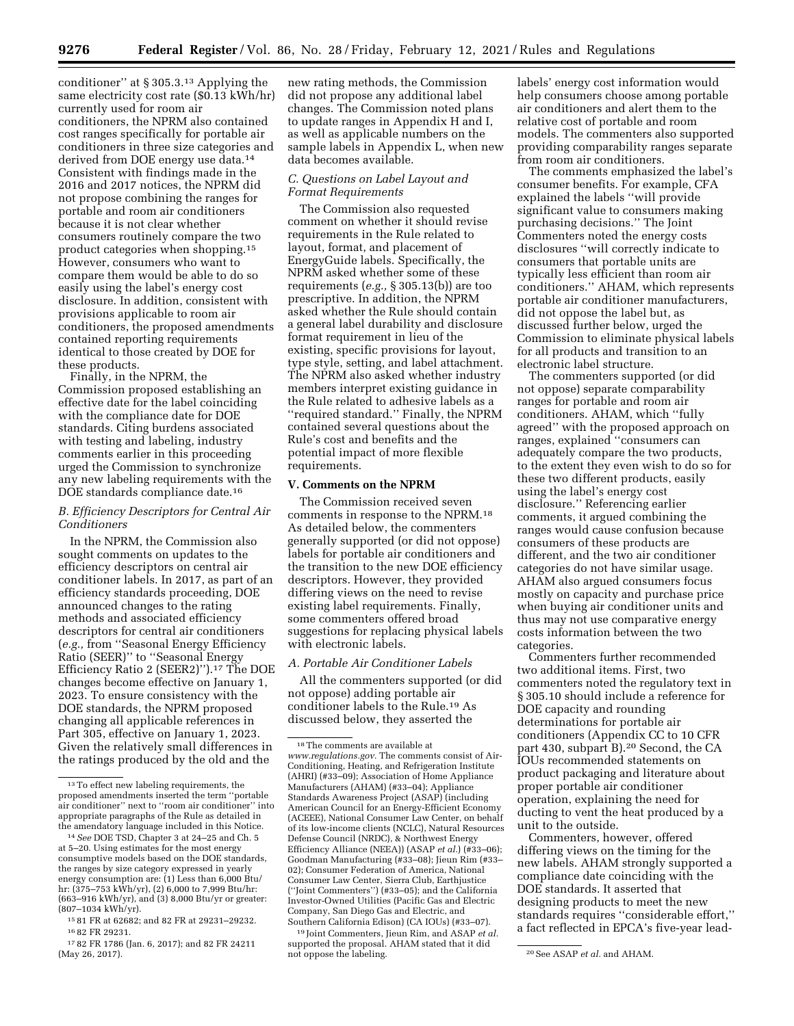conditioner'' at § 305.3.13 Applying the same electricity cost rate (\$0.13 kWh/hr) currently used for room air conditioners, the NPRM also contained cost ranges specifically for portable air conditioners in three size categories and derived from DOE energy use data.14 Consistent with findings made in the 2016 and 2017 notices, the NPRM did not propose combining the ranges for portable and room air conditioners because it is not clear whether consumers routinely compare the two product categories when shopping.15 However, consumers who want to compare them would be able to do so easily using the label's energy cost disclosure. In addition, consistent with provisions applicable to room air conditioners, the proposed amendments contained reporting requirements identical to those created by DOE for these products.

Finally, in the NPRM, the Commission proposed establishing an effective date for the label coinciding with the compliance date for DOE standards. Citing burdens associated with testing and labeling, industry comments earlier in this proceeding urged the Commission to synchronize any new labeling requirements with the DOE standards compliance date.16

### *B. Efficiency Descriptors for Central Air Conditioners*

In the NPRM, the Commission also sought comments on updates to the efficiency descriptors on central air conditioner labels. In 2017, as part of an efficiency standards proceeding, DOE announced changes to the rating methods and associated efficiency descriptors for central air conditioners (*e.g.,* from ''Seasonal Energy Efficiency Ratio (SEER)'' to ''Seasonal Energy Efficiency Ratio 2 (SEER2)'').17 The DOE changes become effective on January 1, 2023. To ensure consistency with the DOE standards, the NPRM proposed changing all applicable references in Part 305, effective on January 1, 2023. Given the relatively small differences in the ratings produced by the old and the

new rating methods, the Commission did not propose any additional label changes. The Commission noted plans to update ranges in Appendix H and I, as well as applicable numbers on the sample labels in Appendix L, when new data becomes available.

## *C. Questions on Label Layout and Format Requirements*

The Commission also requested comment on whether it should revise requirements in the Rule related to layout, format, and placement of EnergyGuide labels. Specifically, the NPRM asked whether some of these requirements (*e.g.,* § 305.13(b)) are too prescriptive. In addition, the NPRM asked whether the Rule should contain a general label durability and disclosure format requirement in lieu of the existing, specific provisions for layout, type style, setting, and label attachment. The NPRM also asked whether industry members interpret existing guidance in the Rule related to adhesive labels as a ''required standard.'' Finally, the NPRM contained several questions about the Rule's cost and benefits and the potential impact of more flexible requirements.

#### **V. Comments on the NPRM**

The Commission received seven comments in response to the NPRM.18 As detailed below, the commenters generally supported (or did not oppose) labels for portable air conditioners and the transition to the new DOE efficiency descriptors. However, they provided differing views on the need to revise existing label requirements. Finally, some commenters offered broad suggestions for replacing physical labels with electronic labels.

### *A. Portable Air Conditioner Labels*

All the commenters supported (or did not oppose) adding portable air conditioner labels to the Rule.19 As discussed below, they asserted the

19 Joint Commenters, Jieun Rim, and ASAP *et al.*  supported the proposal. AHAM stated that it did<br>not oppose the labeling.

labels' energy cost information would help consumers choose among portable air conditioners and alert them to the relative cost of portable and room models. The commenters also supported providing comparability ranges separate from room air conditioners.

The comments emphasized the label's consumer benefits. For example, CFA explained the labels ''will provide significant value to consumers making purchasing decisions.'' The Joint Commenters noted the energy costs disclosures ''will correctly indicate to consumers that portable units are typically less efficient than room air conditioners.'' AHAM, which represents portable air conditioner manufacturers, did not oppose the label but, as discussed further below, urged the Commission to eliminate physical labels for all products and transition to an electronic label structure.

The commenters supported (or did not oppose) separate comparability ranges for portable and room air conditioners. AHAM, which ''fully agreed'' with the proposed approach on ranges, explained ''consumers can adequately compare the two products, to the extent they even wish to do so for these two different products, easily using the label's energy cost disclosure.'' Referencing earlier comments, it argued combining the ranges would cause confusion because consumers of these products are different, and the two air conditioner categories do not have similar usage. AHAM also argued consumers focus mostly on capacity and purchase price when buying air conditioner units and thus may not use comparative energy costs information between the two categories.

Commenters further recommended two additional items. First, two commenters noted the regulatory text in § 305.10 should include a reference for DOE capacity and rounding determinations for portable air conditioners (Appendix CC to 10 CFR part 430, subpart B).20 Second, the CA IOUs recommended statements on product packaging and literature about proper portable air conditioner operation, explaining the need for ducting to vent the heat produced by a unit to the outside.

Commenters, however, offered differing views on the timing for the new labels. AHAM strongly supported a compliance date coinciding with the DOE standards. It asserted that designing products to meet the new standards requires ''considerable effort,'' a fact reflected in EPCA's five-year lead-

 $^{\rm 13}\rm{To}$  effect new labeling requirements, the proposed amendments inserted the term ''portable air conditioner'' next to ''room air conditioner'' into appropriate paragraphs of the Rule as detailed in the amendatory language included in this Notice.

<sup>14</sup>*See* DOE TSD, Chapter 3 at 24–25 and Ch. 5 at 5–20. Using estimates for the most energy consumptive models based on the DOE standards, the ranges by size category expressed in yearly energy consumption are: (1) Less than 6,000 Btu/ hr: (375–753 kWh/yr), (2) 6,000 to 7,999 Btu/hr: (663–916 kWh/yr), and (3) 8,000 Btu/yr or greater: (807–1034 kWh/yr).

<sup>15</sup> 81 FR at 62682; and 82 FR at 29231–29232. 16 82 FR 29231.

<sup>17</sup> 82 FR 1786 (Jan. 6, 2017); and 82 FR 24211 (May 26, 2017).

<sup>18</sup>The comments are available at *[www.regulations.gov.](http://www.regulations.gov)* The comments consist of Air-Conditioning, Heating, and Refrigeration Institute (AHRI) (#33–09); Association of Home Appliance Manufacturers (AHAM) (#33–04); Appliance Standards Awareness Project (ASAP) (including American Council for an Energy-Efficient Economy (ACEEE), National Consumer Law Center, on behalf of its low-income clients (NCLC), Natural Resources Defense Council (NRDC), & Northwest Energy Efficiency Alliance (NEEA)) (ASAP et al.) (#33-06); Goodman Manufacturing (#33–08); Jieun Rim (#33– 02); Consumer Federation of America, National Consumer Law Center, Sierra Club, Earthjustice (''Joint Commenters'') (#33–05); and the California Investor-Owned Utilities (Pacific Gas and Electric Company, San Diego Gas and Electric, and Southern California Edison) (CA IOUs) (#33–07).

<sup>&</sup>lt;sup>20</sup> See ASAP *et al.* and AHAM.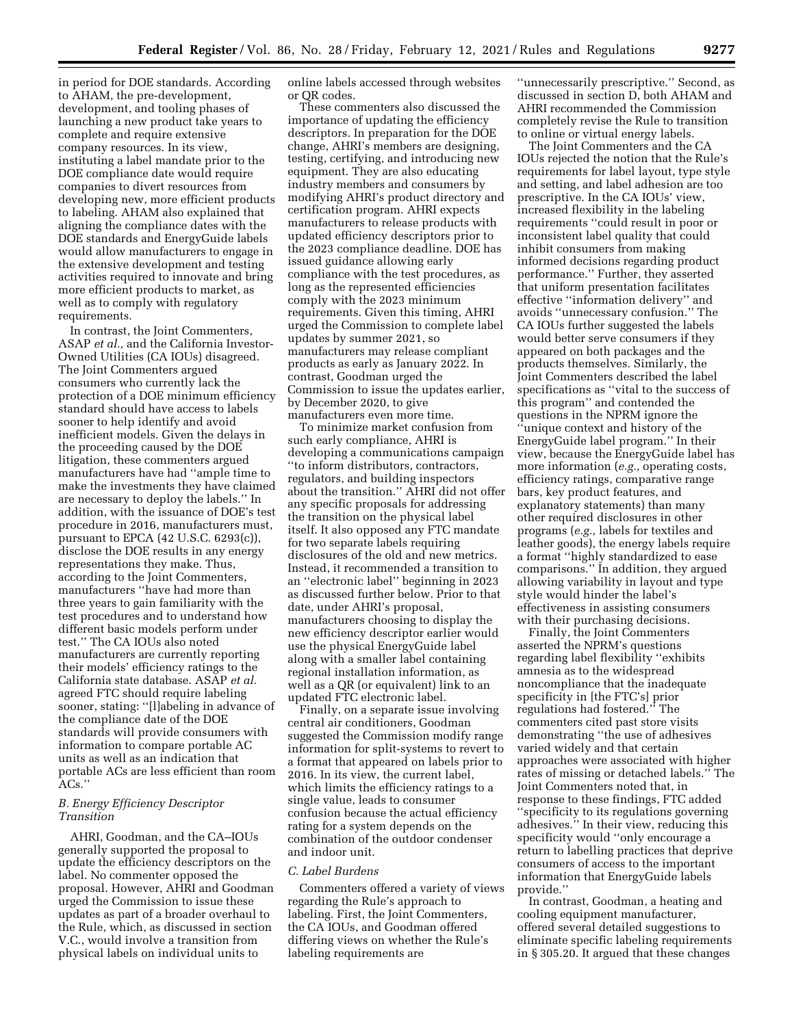in period for DOE standards. According to AHAM, the pre-development, development, and tooling phases of launching a new product take years to complete and require extensive company resources. In its view, instituting a label mandate prior to the DOE compliance date would require companies to divert resources from developing new, more efficient products to labeling. AHAM also explained that aligning the compliance dates with the DOE standards and EnergyGuide labels would allow manufacturers to engage in the extensive development and testing activities required to innovate and bring more efficient products to market, as well as to comply with regulatory requirements.

In contrast, the Joint Commenters, ASAP *et al.,* and the California Investor-Owned Utilities (CA IOUs) disagreed. The Joint Commenters argued consumers who currently lack the protection of a DOE minimum efficiency standard should have access to labels sooner to help identify and avoid inefficient models. Given the delays in the proceeding caused by the DOE litigation, these commenters argued manufacturers have had ''ample time to make the investments they have claimed are necessary to deploy the labels.'' In addition, with the issuance of DOE's test procedure in 2016, manufacturers must, pursuant to EPCA (42 U.S.C. 6293(c)), disclose the DOE results in any energy representations they make. Thus, according to the Joint Commenters, manufacturers ''have had more than three years to gain familiarity with the test procedures and to understand how different basic models perform under test.'' The CA IOUs also noted manufacturers are currently reporting their models' efficiency ratings to the California state database. ASAP *et al.*  agreed FTC should require labeling sooner, stating: ''[l]abeling in advance of the compliance date of the DOE standards will provide consumers with information to compare portable AC units as well as an indication that portable ACs are less efficient than room  $ACs$ ."

### *B. Energy Efficiency Descriptor Transition*

AHRI, Goodman, and the CA–IOUs generally supported the proposal to update the efficiency descriptors on the label. No commenter opposed the proposal. However, AHRI and Goodman urged the Commission to issue these updates as part of a broader overhaul to the Rule, which, as discussed in section V.C., would involve a transition from physical labels on individual units to

online labels accessed through websites or QR codes.

These commenters also discussed the importance of updating the efficiency descriptors. In preparation for the DOE change, AHRI's members are designing, testing, certifying, and introducing new equipment. They are also educating industry members and consumers by modifying AHRI's product directory and certification program. AHRI expects manufacturers to release products with updated efficiency descriptors prior to the 2023 compliance deadline. DOE has issued guidance allowing early compliance with the test procedures, as long as the represented efficiencies comply with the 2023 minimum requirements. Given this timing, AHRI urged the Commission to complete label updates by summer 2021, so manufacturers may release compliant products as early as January 2022. In contrast, Goodman urged the Commission to issue the updates earlier, by December 2020, to give manufacturers even more time.

To minimize market confusion from such early compliance, AHRI is developing a communications campaign ''to inform distributors, contractors, regulators, and building inspectors about the transition.'' AHRI did not offer any specific proposals for addressing the transition on the physical label itself. It also opposed any FTC mandate for two separate labels requiring disclosures of the old and new metrics. Instead, it recommended a transition to an ''electronic label'' beginning in 2023 as discussed further below. Prior to that date, under AHRI's proposal, manufacturers choosing to display the new efficiency descriptor earlier would use the physical EnergyGuide label along with a smaller label containing regional installation information, as well as a QR (or equivalent) link to an updated FTC electronic label.

Finally, on a separate issue involving central air conditioners, Goodman suggested the Commission modify range information for split-systems to revert to a format that appeared on labels prior to 2016. In its view, the current label, which limits the efficiency ratings to a single value, leads to consumer confusion because the actual efficiency rating for a system depends on the combination of the outdoor condenser and indoor unit.

#### *C. Label Burdens*

Commenters offered a variety of views regarding the Rule's approach to labeling. First, the Joint Commenters, the CA IOUs, and Goodman offered differing views on whether the Rule's labeling requirements are

''unnecessarily prescriptive.'' Second, as discussed in section D, both AHAM and AHRI recommended the Commission completely revise the Rule to transition to online or virtual energy labels.

The Joint Commenters and the CA IOUs rejected the notion that the Rule's requirements for label layout, type style and setting, and label adhesion are too prescriptive. In the CA IOUs' view, increased flexibility in the labeling requirements ''could result in poor or inconsistent label quality that could inhibit consumers from making informed decisions regarding product performance.'' Further, they asserted that uniform presentation facilitates effective ''information delivery'' and avoids ''unnecessary confusion.'' The CA IOUs further suggested the labels would better serve consumers if they appeared on both packages and the products themselves. Similarly, the Joint Commenters described the label specifications as ''vital to the success of this program'' and contended the questions in the NPRM ignore the ''unique context and history of the EnergyGuide label program.'' In their view, because the EnergyGuide label has more information (*e.g.,* operating costs, efficiency ratings, comparative range bars, key product features, and explanatory statements) than many other required disclosures in other programs (*e.g.,* labels for textiles and leather goods), the energy labels require a format ''highly standardized to ease comparisons.'' In addition, they argued allowing variability in layout and type style would hinder the label's effectiveness in assisting consumers with their purchasing decisions.

Finally, the Joint Commenters asserted the NPRM's questions regarding label flexibility ''exhibits amnesia as to the widespread noncompliance that the inadequate specificity in [the FTC's] prior regulations had fostered.'' The commenters cited past store visits demonstrating ''the use of adhesives varied widely and that certain approaches were associated with higher rates of missing or detached labels.'' The Joint Commenters noted that, in response to these findings, FTC added ''specificity to its regulations governing adhesives.'' In their view, reducing this specificity would ''only encourage a return to labelling practices that deprive consumers of access to the important information that EnergyGuide labels provide.''

In contrast, Goodman, a heating and cooling equipment manufacturer, offered several detailed suggestions to eliminate specific labeling requirements in § 305.20. It argued that these changes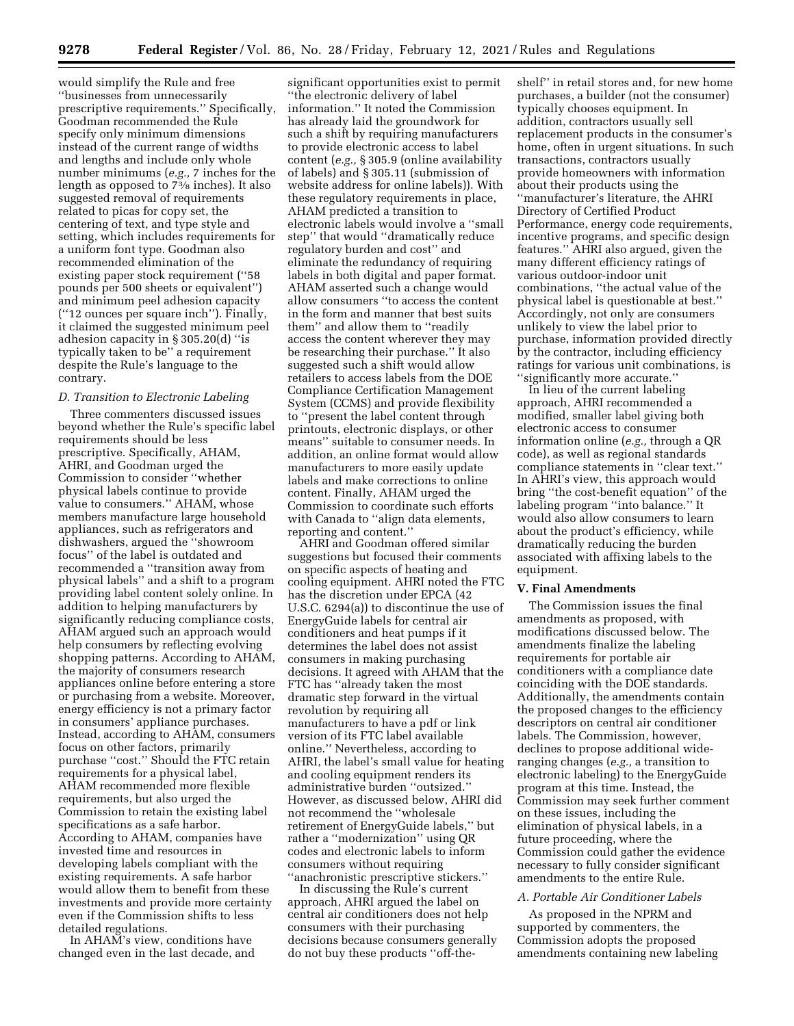would simplify the Rule and free ''businesses from unnecessarily prescriptive requirements.'' Specifically, Goodman recommended the Rule specify only minimum dimensions instead of the current range of widths and lengths and include only whole number minimums (*e.g.,* 7 inches for the length as opposed to 73⁄8 inches). It also suggested removal of requirements related to picas for copy set, the centering of text, and type style and setting, which includes requirements for a uniform font type. Goodman also recommended elimination of the existing paper stock requirement (''58 pounds per 500 sheets or equivalent'') and minimum peel adhesion capacity (''12 ounces per square inch''). Finally, it claimed the suggested minimum peel adhesion capacity in § 305.20(d) ''is typically taken to be'' a requirement despite the Rule's language to the contrary.

## *D. Transition to Electronic Labeling*

Three commenters discussed issues beyond whether the Rule's specific label requirements should be less prescriptive. Specifically, AHAM, AHRI, and Goodman urged the Commission to consider ''whether physical labels continue to provide value to consumers.'' AHAM, whose members manufacture large household appliances, such as refrigerators and dishwashers, argued the ''showroom focus'' of the label is outdated and recommended a ''transition away from physical labels'' and a shift to a program providing label content solely online. In addition to helping manufacturers by significantly reducing compliance costs, AHAM argued such an approach would help consumers by reflecting evolving shopping patterns. According to AHAM, the majority of consumers research appliances online before entering a store or purchasing from a website. Moreover, energy efficiency is not a primary factor in consumers' appliance purchases. Instead, according to AHAM, consumers focus on other factors, primarily purchase ''cost.'' Should the FTC retain requirements for a physical label, AHAM recommended more flexible requirements, but also urged the Commission to retain the existing label specifications as a safe harbor. According to AHAM, companies have invested time and resources in developing labels compliant with the existing requirements. A safe harbor would allow them to benefit from these investments and provide more certainty even if the Commission shifts to less detailed regulations.

In AHAM's view, conditions have changed even in the last decade, and

significant opportunities exist to permit ''the electronic delivery of label information.'' It noted the Commission has already laid the groundwork for such a shift by requiring manufacturers to provide electronic access to label content (*e.g.,* § 305.9 (online availability of labels) and § 305.11 (submission of website address for online labels)). With these regulatory requirements in place, AHAM predicted a transition to electronic labels would involve a ''small step'' that would ''dramatically reduce regulatory burden and cost'' and eliminate the redundancy of requiring labels in both digital and paper format. AHAM asserted such a change would allow consumers ''to access the content in the form and manner that best suits them'' and allow them to ''readily access the content wherever they may be researching their purchase.'' It also suggested such a shift would allow retailers to access labels from the DOE Compliance Certification Management System (CCMS) and provide flexibility to ''present the label content through printouts, electronic displays, or other means'' suitable to consumer needs. In addition, an online format would allow manufacturers to more easily update labels and make corrections to online content. Finally, AHAM urged the Commission to coordinate such efforts with Canada to ''align data elements, reporting and content.''

AHRI and Goodman offered similar suggestions but focused their comments on specific aspects of heating and cooling equipment. AHRI noted the FTC has the discretion under EPCA (42 U.S.C. 6294(a)) to discontinue the use of EnergyGuide labels for central air conditioners and heat pumps if it determines the label does not assist consumers in making purchasing decisions. It agreed with AHAM that the FTC has ''already taken the most dramatic step forward in the virtual revolution by requiring all manufacturers to have a pdf or link version of its FTC label available online.'' Nevertheless, according to AHRI, the label's small value for heating and cooling equipment renders its administrative burden ''outsized.'' However, as discussed below, AHRI did not recommend the ''wholesale retirement of EnergyGuide labels,'' but rather a ''modernization'' using QR codes and electronic labels to inform consumers without requiring

''anachronistic prescriptive stickers.'' In discussing the Rule's current approach, AHRI argued the label on central air conditioners does not help consumers with their purchasing decisions because consumers generally do not buy these products ''off-the-

shelf'' in retail stores and, for new home purchases, a builder (not the consumer) typically chooses equipment. In addition, contractors usually sell replacement products in the consumer's home, often in urgent situations. In such transactions, contractors usually provide homeowners with information about their products using the ''manufacturer's literature, the AHRI Directory of Certified Product Performance, energy code requirements, incentive programs, and specific design features.'' AHRI also argued, given the many different efficiency ratings of various outdoor-indoor unit combinations, ''the actual value of the physical label is questionable at best.'' Accordingly, not only are consumers unlikely to view the label prior to purchase, information provided directly by the contractor, including efficiency ratings for various unit combinations, is ''significantly more accurate.''

In lieu of the current labeling approach, AHRI recommended a modified, smaller label giving both electronic access to consumer information online (*e.g.,* through a QR code), as well as regional standards compliance statements in ''clear text.'' In AHRI's view, this approach would bring ''the cost-benefit equation'' of the labeling program ''into balance.'' It would also allow consumers to learn about the product's efficiency, while dramatically reducing the burden associated with affixing labels to the equipment.

#### **V. Final Amendments**

The Commission issues the final amendments as proposed, with modifications discussed below. The amendments finalize the labeling requirements for portable air conditioners with a compliance date coinciding with the DOE standards. Additionally, the amendments contain the proposed changes to the efficiency descriptors on central air conditioner labels. The Commission, however, declines to propose additional wideranging changes (*e.g.,* a transition to electronic labeling) to the EnergyGuide program at this time. Instead, the Commission may seek further comment on these issues, including the elimination of physical labels, in a future proceeding, where the Commission could gather the evidence necessary to fully consider significant amendments to the entire Rule.

#### *A. Portable Air Conditioner Labels*

As proposed in the NPRM and supported by commenters, the Commission adopts the proposed amendments containing new labeling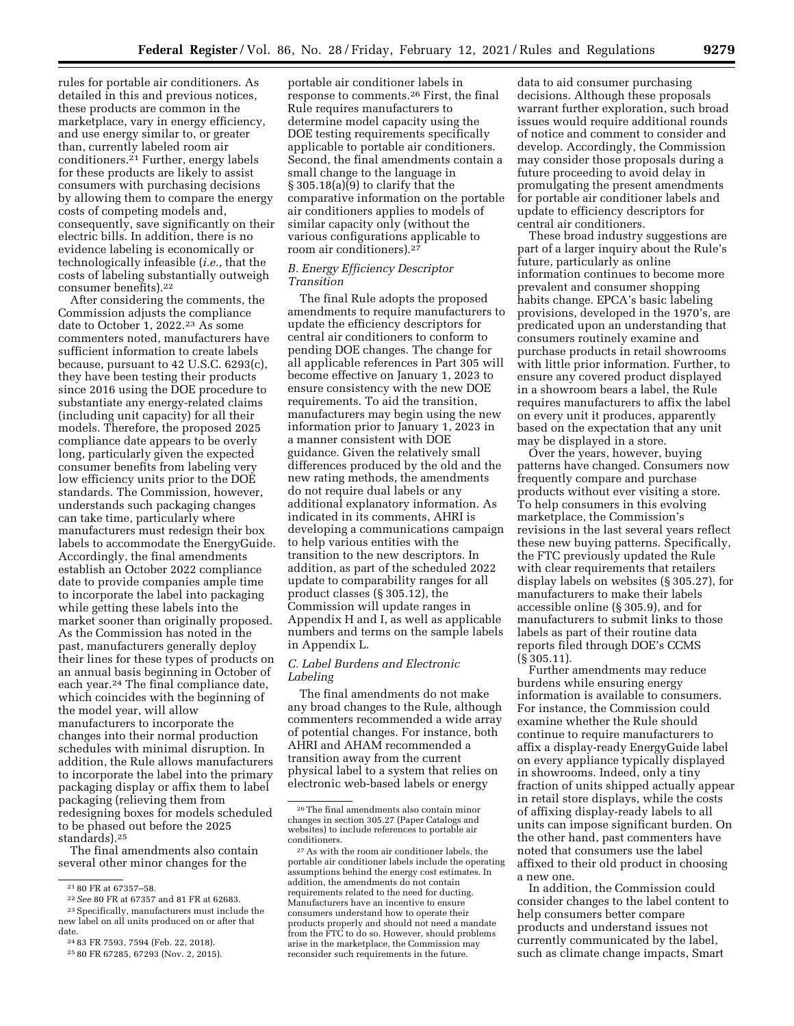rules for portable air conditioners. As detailed in this and previous notices, these products are common in the marketplace, vary in energy efficiency, and use energy similar to, or greater than, currently labeled room air conditioners.21 Further, energy labels for these products are likely to assist consumers with purchasing decisions by allowing them to compare the energy costs of competing models and, consequently, save significantly on their electric bills. In addition, there is no evidence labeling is economically or technologically infeasible (*i.e.,* that the costs of labeling substantially outweigh consumer benefits).22

After considering the comments, the Commission adjusts the compliance date to October 1, 2022.23 As some commenters noted, manufacturers have sufficient information to create labels because, pursuant to 42 U.S.C. 6293(c), they have been testing their products since 2016 using the DOE procedure to substantiate any energy-related claims (including unit capacity) for all their models. Therefore, the proposed 2025 compliance date appears to be overly long, particularly given the expected consumer benefits from labeling very low efficiency units prior to the DOE standards. The Commission, however, understands such packaging changes can take time, particularly where manufacturers must redesign their box labels to accommodate the EnergyGuide. Accordingly, the final amendments establish an October 2022 compliance date to provide companies ample time to incorporate the label into packaging while getting these labels into the market sooner than originally proposed. As the Commission has noted in the past, manufacturers generally deploy their lines for these types of products on an annual basis beginning in October of each year.<sup>24</sup> The final compliance date, which coincides with the beginning of the model year, will allow manufacturers to incorporate the changes into their normal production schedules with minimal disruption. In addition, the Rule allows manufacturers to incorporate the label into the primary packaging display or affix them to label packaging (relieving them from redesigning boxes for models scheduled to be phased out before the 2025 standards).25

The final amendments also contain several other minor changes for the

portable air conditioner labels in response to comments.26 First, the final Rule requires manufacturers to determine model capacity using the DOE testing requirements specifically applicable to portable air conditioners. Second, the final amendments contain a small change to the language in § 305.18(a)(9) to clarify that the comparative information on the portable air conditioners applies to models of similar capacity only (without the various configurations applicable to room air conditioners).27

### *B. Energy Efficiency Descriptor Transition*

The final Rule adopts the proposed amendments to require manufacturers to update the efficiency descriptors for central air conditioners to conform to pending DOE changes. The change for all applicable references in Part 305 will become effective on January 1, 2023 to ensure consistency with the new DOE requirements. To aid the transition, manufacturers may begin using the new information prior to January 1, 2023 in a manner consistent with DOE guidance. Given the relatively small differences produced by the old and the new rating methods, the amendments do not require dual labels or any additional explanatory information. As indicated in its comments, AHRI is developing a communications campaign to help various entities with the transition to the new descriptors. In addition, as part of the scheduled 2022 update to comparability ranges for all product classes (§ 305.12), the Commission will update ranges in Appendix H and I, as well as applicable numbers and terms on the sample labels in Appendix L.

### *C. Label Burdens and Electronic Labeling*

The final amendments do not make any broad changes to the Rule, although commenters recommended a wide array of potential changes. For instance, both AHRI and AHAM recommended a transition away from the current physical label to a system that relies on electronic web-based labels or energy

data to aid consumer purchasing decisions. Although these proposals warrant further exploration, such broad issues would require additional rounds of notice and comment to consider and develop. Accordingly, the Commission may consider those proposals during a future proceeding to avoid delay in promulgating the present amendments for portable air conditioner labels and update to efficiency descriptors for central air conditioners.

These broad industry suggestions are part of a larger inquiry about the Rule's future, particularly as online information continues to become more prevalent and consumer shopping habits change. EPCA's basic labeling provisions, developed in the 1970's, are predicated upon an understanding that consumers routinely examine and purchase products in retail showrooms with little prior information. Further, to ensure any covered product displayed in a showroom bears a label, the Rule requires manufacturers to affix the label on every unit it produces, apparently based on the expectation that any unit may be displayed in a store.

Over the years, however, buying patterns have changed. Consumers now frequently compare and purchase products without ever visiting a store. To help consumers in this evolving marketplace, the Commission's revisions in the last several years reflect these new buying patterns. Specifically, the FTC previously updated the Rule with clear requirements that retailers display labels on websites (§ 305.27), for manufacturers to make their labels accessible online (§ 305.9), and for manufacturers to submit links to those labels as part of their routine data reports filed through DOE's CCMS (§ 305.11).

Further amendments may reduce burdens while ensuring energy information is available to consumers. For instance, the Commission could examine whether the Rule should continue to require manufacturers to affix a display-ready EnergyGuide label on every appliance typically displayed in showrooms. Indeed, only a tiny fraction of units shipped actually appear in retail store displays, while the costs of affixing display-ready labels to all units can impose significant burden. On the other hand, past commenters have noted that consumers use the label affixed to their old product in choosing a new one.

In addition, the Commission could consider changes to the label content to help consumers better compare products and understand issues not currently communicated by the label, such as climate change impacts, Smart

<sup>21</sup> 80 FR at 67357–58. 22*See* 80 FR at 67357 and 81 FR at 62683. 23Specifically, manufacturers must include the new label on all units produced on or after that

date. 24 83 FR 7593, 7594 (Feb. 22, 2018). 25 80 FR 67285, 67293 (Nov. 2, 2015).

<sup>26</sup>The final amendments also contain minor changes in section 305.27 (Paper Catalogs and websites) to include references to portable air conditioners.

<sup>27</sup>As with the room air conditioner labels, the portable air conditioner labels include the operating assumptions behind the energy cost estimates. In addition, the amendments do not contain requirements related to the need for ducting. Manufacturers have an incentive to ensure consumers understand how to operate their products properly and should not need a mandate from the FTC to do so. However, should problems arise in the marketplace, the Commission may reconsider such requirements in the future.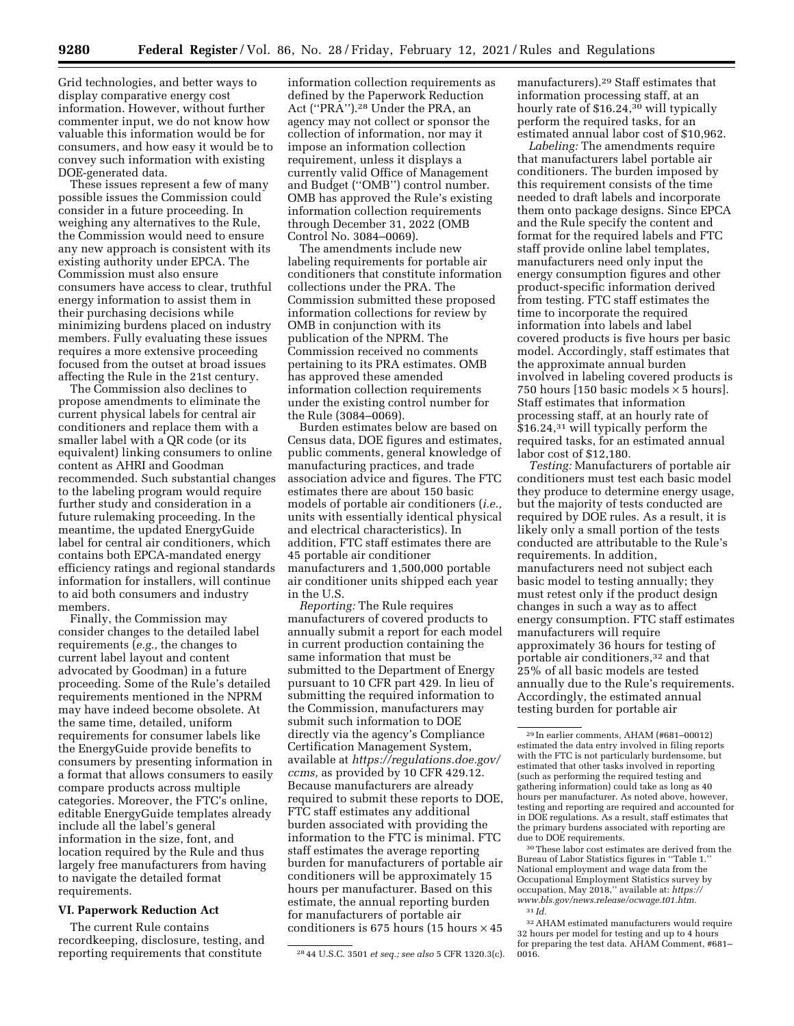Grid technologies, and better ways to display comparative energy cost information. However, without further commenter input, we do not know how valuable this information would be for

DOE-generated data. These issues represent a few of many possible issues the Commission could consider in a future proceeding. In weighing any alternatives to the Rule, the Commission would need to ensure any new approach is consistent with its existing authority under EPCA. The Commission must also ensure consumers have access to clear, truthful energy information to assist them in their purchasing decisions while minimizing burdens placed on industry members. Fully evaluating these issues requires a more extensive proceeding focused from the outset at broad issues affecting the Rule in the 21st century.

consumers, and how easy it would be to convey such information with existing

The Commission also declines to propose amendments to eliminate the current physical labels for central air conditioners and replace them with a smaller label with a QR code (or its equivalent) linking consumers to online content as AHRI and Goodman recommended. Such substantial changes to the labeling program would require further study and consideration in a future rulemaking proceeding. In the meantime, the updated EnergyGuide label for central air conditioners, which contains both EPCA-mandated energy efficiency ratings and regional standards information for installers, will continue to aid both consumers and industry members.

Finally, the Commission may consider changes to the detailed label requirements (*e.g.,* the changes to current label layout and content advocated by Goodman) in a future proceeding. Some of the Rule's detailed requirements mentioned in the NPRM may have indeed become obsolete. At the same time, detailed, uniform requirements for consumer labels like the EnergyGuide provide benefits to consumers by presenting information in a format that allows consumers to easily compare products across multiple categories. Moreover, the FTC's online, editable EnergyGuide templates already include all the label's general information in the size, font, and location required by the Rule and thus largely free manufacturers from having to navigate the detailed format requirements.

# **VI. Paperwork Reduction Act**

The current Rule contains recordkeeping, disclosure, testing, and reporting requirements that constitute

information collection requirements as defined by the Paperwork Reduction Act (''PRA'').28 Under the PRA, an agency may not collect or sponsor the collection of information, nor may it impose an information collection requirement, unless it displays a currently valid Office of Management and Budget (''OMB'') control number. OMB has approved the Rule's existing information collection requirements through December 31, 2022 (OMB Control No. 3084–0069).

The amendments include new labeling requirements for portable air conditioners that constitute information collections under the PRA. The Commission submitted these proposed information collections for review by OMB in conjunction with its publication of the NPRM. The Commission received no comments pertaining to its PRA estimates. OMB has approved these amended information collection requirements under the existing control number for the Rule (3084–0069).

Burden estimates below are based on Census data, DOE figures and estimates, public comments, general knowledge of manufacturing practices, and trade association advice and figures. The FTC estimates there are about 150 basic models of portable air conditioners (*i.e.,*  units with essentially identical physical and electrical characteristics). In addition, FTC staff estimates there are 45 portable air conditioner manufacturers and 1,500,000 portable air conditioner units shipped each year in the U.S.

*Reporting:* The Rule requires manufacturers of covered products to annually submit a report for each model in current production containing the same information that must be submitted to the Department of Energy pursuant to 10 CFR part 429. In lieu of submitting the required information to the Commission, manufacturers may submit such information to DOE directly via the agency's Compliance Certification Management System, available at *[https://regulations.doe.gov/](https://regulations.doe.gov/ccms)  [ccms,](https://regulations.doe.gov/ccms)* as provided by 10 CFR 429.12. Because manufacturers are already required to submit these reports to DOE, FTC staff estimates any additional burden associated with providing the information to the FTC is minimal. FTC staff estimates the average reporting burden for manufacturers of portable air conditioners will be approximately 15 hours per manufacturer. Based on this estimate, the annual reporting burden for manufacturers of portable air conditioners is 675 hours (15 hours  $\times$  45

manufacturers).29 Staff estimates that information processing staff, at an hourly rate of \$16.24,<sup>30</sup> will typically perform the required tasks, for an estimated annual labor cost of \$10,962.

*Labeling:* The amendments require that manufacturers label portable air conditioners. The burden imposed by this requirement consists of the time needed to draft labels and incorporate them onto package designs. Since EPCA and the Rule specify the content and format for the required labels and FTC staff provide online label templates, manufacturers need only input the energy consumption figures and other product-specific information derived from testing. FTC staff estimates the time to incorporate the required information into labels and label covered products is five hours per basic model. Accordingly, staff estimates that the approximate annual burden involved in labeling covered products is 750 hours [150 basic models  $\times$  5 hours]. Staff estimates that information processing staff, at an hourly rate of \$16.24,<sup>31</sup> will typically perform the required tasks, for an estimated annual labor cost of \$12,180.

*Testing:* Manufacturers of portable air conditioners must test each basic model they produce to determine energy usage, but the majority of tests conducted are required by DOE rules. As a result, it is likely only a small portion of the tests conducted are attributable to the Rule's requirements. In addition, manufacturers need not subject each basic model to testing annually; they must retest only if the product design changes in such a way as to affect energy consumption. FTC staff estimates manufacturers will require approximately 36 hours for testing of portable air conditioners,32 and that 25% of all basic models are tested annually due to the Rule's requirements. Accordingly, the estimated annual testing burden for portable air

30These labor cost estimates are derived from the Bureau of Labor Statistics figures in ''Table 1.'' National employment and wage data from the Occupational Employment Statistics survey by occupation, May 2018,'' available at: *[https://](https://www.bls.gov/news.release/ocwage.t01.htm) [www.bls.gov/news.release/ocwage.t01.htm.](https://www.bls.gov/news.release/ocwage.t01.htm)*  31 *Id.* 

32AHAM estimated manufacturers would require 32 hours per model for testing and up to 4 hours for preparing the test data. AHAM Comment, #681-0016.

<sup>28</sup> 44 U.S.C. 3501 *et seq.; see also* 5 CFR 1320.3(c).

<sup>29</sup> In earlier comments, AHAM (#681–00012) estimated the data entry involved in filing reports with the FTC is not particularly burdensome, but estimated that other tasks involved in reporting (such as performing the required testing and gathering information) could take as long as 40 hours per manufacturer. As noted above, however, testing and reporting are required and accounted for in DOE regulations. As a result, staff estimates that the primary burdens associated with reporting are due to DOE requirements.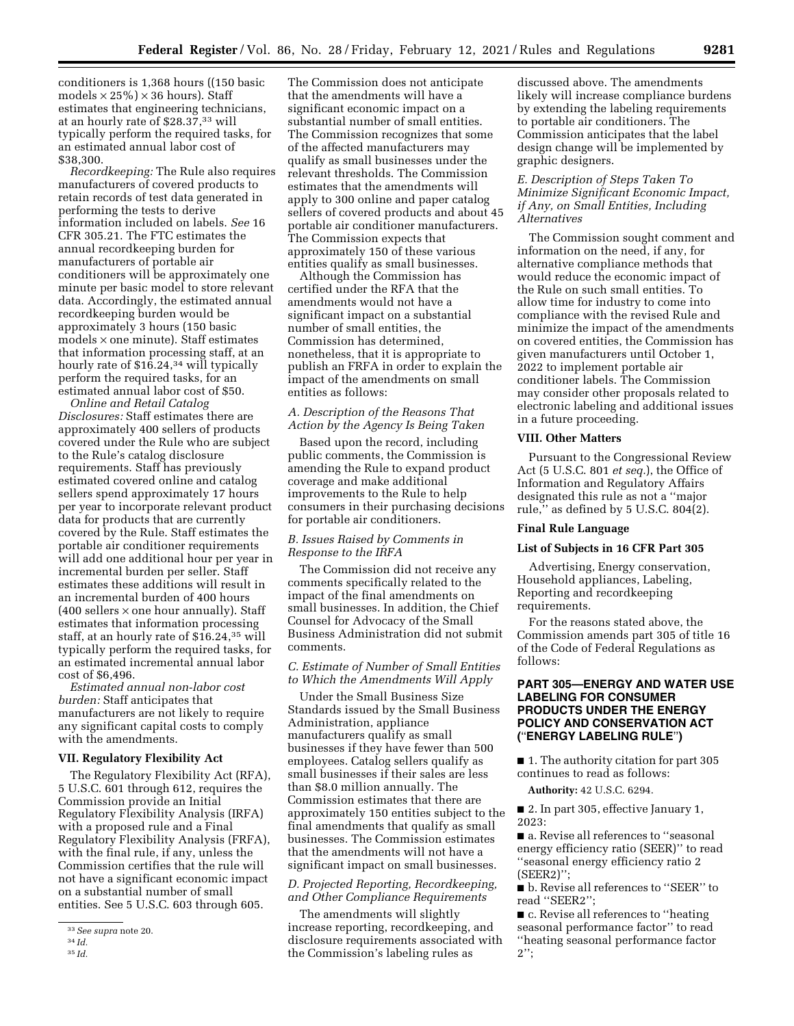conditioners is 1,368 hours ((150 basic models  $\times$  25%)  $\times$  36 hours). Staff estimates that engineering technicians, at an hourly rate of \$28.37,33 will typically perform the required tasks, for an estimated annual labor cost of \$38,300.

*Recordkeeping:* The Rule also requires manufacturers of covered products to retain records of test data generated in performing the tests to derive information included on labels. *See* 16 CFR 305.21. The FTC estimates the annual recordkeeping burden for manufacturers of portable air conditioners will be approximately one minute per basic model to store relevant data. Accordingly, the estimated annual recordkeeping burden would be approximately 3 hours (150 basic models × one minute). Staff estimates that information processing staff, at an hourly rate of \$16.24,<sup>34</sup> will typically perform the required tasks, for an estimated annual labor cost of \$50.

*Online and Retail Catalog Disclosures:* Staff estimates there are approximately 400 sellers of products covered under the Rule who are subject to the Rule's catalog disclosure requirements. Staff has previously estimated covered online and catalog sellers spend approximately 17 hours per year to incorporate relevant product data for products that are currently covered by the Rule. Staff estimates the portable air conditioner requirements will add one additional hour per year in incremental burden per seller. Staff estimates these additions will result in an incremental burden of 400 hours  $(400$  sellers  $\times$  one hour annually). Staff estimates that information processing staff, at an hourly rate of \$16.24,35 will typically perform the required tasks, for an estimated incremental annual labor cost of \$6,496.

*Estimated annual non-labor cost burden:* Staff anticipates that manufacturers are not likely to require any significant capital costs to comply with the amendments.

#### **VII. Regulatory Flexibility Act**

The Regulatory Flexibility Act (RFA), 5 U.S.C. 601 through 612, requires the Commission provide an Initial Regulatory Flexibility Analysis (IRFA) with a proposed rule and a Final Regulatory Flexibility Analysis (FRFA), with the final rule, if any, unless the Commission certifies that the rule will not have a significant economic impact on a substantial number of small entities. See 5 U.S.C. 603 through 605.

The Commission does not anticipate that the amendments will have a significant economic impact on a substantial number of small entities. The Commission recognizes that some of the affected manufacturers may qualify as small businesses under the relevant thresholds. The Commission estimates that the amendments will apply to 300 online and paper catalog sellers of covered products and about 45 portable air conditioner manufacturers. The Commission expects that

> entities qualify as small businesses. Although the Commission has certified under the RFA that the amendments would not have a significant impact on a substantial number of small entities, the Commission has determined, nonetheless, that it is appropriate to publish an FRFA in order to explain the impact of the amendments on small entities as follows:

approximately 150 of these various

### *A. Description of the Reasons That Action by the Agency Is Being Taken*

Based upon the record, including public comments, the Commission is amending the Rule to expand product coverage and make additional improvements to the Rule to help consumers in their purchasing decisions for portable air conditioners.

### *B. Issues Raised by Comments in Response to the IRFA*

The Commission did not receive any comments specifically related to the impact of the final amendments on small businesses. In addition, the Chief Counsel for Advocacy of the Small Business Administration did not submit comments.

*C. Estimate of Number of Small Entities to Which the Amendments Will Apply* 

Under the Small Business Size Standards issued by the Small Business Administration, appliance manufacturers qualify as small businesses if they have fewer than 500 employees. Catalog sellers qualify as small businesses if their sales are less than \$8.0 million annually. The Commission estimates that there are approximately 150 entities subject to the final amendments that qualify as small businesses. The Commission estimates that the amendments will not have a significant impact on small businesses.

# *D. Projected Reporting, Recordkeeping, and Other Compliance Requirements*

The amendments will slightly increase reporting, recordkeeping, and disclosure requirements associated with the Commission's labeling rules as

discussed above. The amendments likely will increase compliance burdens by extending the labeling requirements to portable air conditioners. The Commission anticipates that the label design change will be implemented by graphic designers.

### *E. Description of Steps Taken To Minimize Significant Economic Impact, if Any, on Small Entities, Including Alternatives*

The Commission sought comment and information on the need, if any, for alternative compliance methods that would reduce the economic impact of the Rule on such small entities. To allow time for industry to come into compliance with the revised Rule and minimize the impact of the amendments on covered entities, the Commission has given manufacturers until October 1, 2022 to implement portable air conditioner labels. The Commission may consider other proposals related to electronic labeling and additional issues in a future proceeding.

### **VIII. Other Matters**

Pursuant to the Congressional Review Act (5 U.S.C. 801 *et seq.*), the Office of Information and Regulatory Affairs designated this rule as not a ''major rule,'' as defined by 5 U.S.C. 804(2).

#### **Final Rule Language**

### **List of Subjects in 16 CFR Part 305**

Advertising, Energy conservation, Household appliances, Labeling, Reporting and recordkeeping requirements.

For the reasons stated above, the Commission amends part 305 of title 16 of the Code of Federal Regulations as follows:

## **PART 305—ENERGY AND WATER USE LABELING FOR CONSUMER PRODUCTS UNDER THE ENERGY POLICY AND CONSERVATION ACT (**''**ENERGY LABELING RULE**''**)**

■ 1. The authority citation for part 305 continues to read as follows:

**Authority:** 42 U.S.C. 6294.

■ 2. In part 305, effective January 1, 2023:

■ a. Revise all references to "seasonal energy efficiency ratio (SEER)'' to read ''seasonal energy efficiency ratio 2 (SEER2)'';

■ b. Revise all references to "SEER" to read ''SEER2'';

■ c. Revise all references to "heating seasonal performance factor'' to read ''heating seasonal performance factor  $2$ ";

<sup>33</sup>*See supra* note 20.

<sup>34</sup> *Id.*  35 *Id.*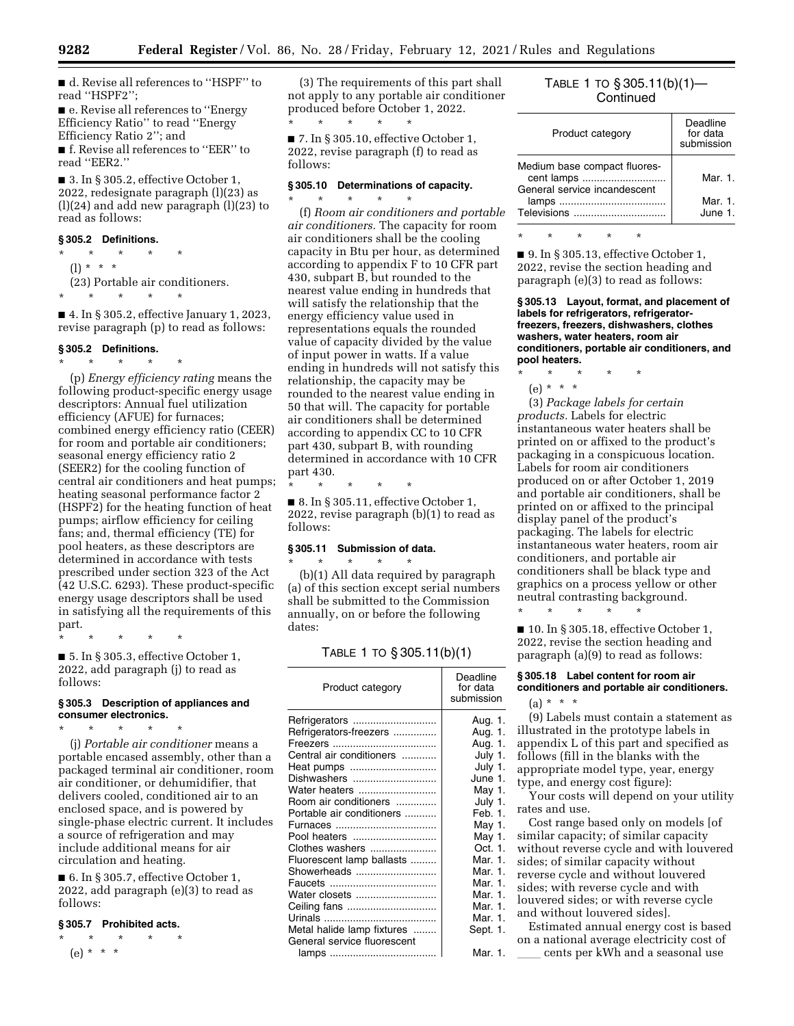■ d. Revise all references to "HSPF" to read ''HSPF2'';

■ e. Revise all references to "Energy Efficiency Ratio'' to read ''Energy Efficiency Ratio 2''; and ■ f. Revise all references to "EER" to

read ''EER2.''

 $\blacksquare$  3. In § 305.2, effective October 1, 2022, redesignate paragraph (l)(23) as (l)(24) and add new paragraph (l)(23) to read as follows:

### **§ 305.2 Definitions.**

 $\star$   $\star$   $\star$ (l) \* \* \*

(23) Portable air conditioners.

\* \* \* \* \*

■ 4. In § 305.2, effective January 1, 2023, revise paragraph (p) to read as follows:

### **§ 305.2 Definitions.**

\* \* \* \* \* (p) *Energy efficiency rating* means the following product-specific energy usage descriptors: Annual fuel utilization efficiency (AFUE) for furnaces; combined energy efficiency ratio (CEER) for room and portable air conditioners; seasonal energy efficiency ratio 2 (SEER2) for the cooling function of central air conditioners and heat pumps; heating seasonal performance factor 2 (HSPF2) for the heating function of heat pumps; airflow efficiency for ceiling fans; and, thermal efficiency (TE) for pool heaters, as these descriptors are determined in accordance with tests prescribed under section 323 of the Act (42 U.S.C. 6293). These product-specific energy usage descriptors shall be used in satisfying all the requirements of this part.

\* \* \* \* \* ■ 5. In § 305.3, effective October 1, 2022, add paragraph (j) to read as

# **§ 305.3 Description of appliances and consumer electronics.**

\* \* \* \* \*

follows:

(j) *Portable air conditioner* means a portable encased assembly, other than a packaged terminal air conditioner, room air conditioner, or dehumidifier, that delivers cooled, conditioned air to an enclosed space, and is powered by single-phase electric current. It includes a source of refrigeration and may include additional means for air circulation and heating.

■ 6. In § 305.7, effective October 1, 2022, add paragraph (e)(3) to read as follows:

## **§ 305.7 Prohibited acts.**

 $\star$   $\star$   $\star$ (e) \* \* \*

(3) The requirements of this part shall not apply to any portable air conditioner produced before October 1, 2022.  $\star$   $\qquad$   $\star$   $\qquad$   $\star$ 

 $\blacksquare$  7. In § 305.10, effective October 1, 2022, revise paragraph (f) to read as follows:

## **§ 305.10 Determinations of capacity.**

\* \* \* \* \* (f) *Room air conditioners and portable air conditioners.* The capacity for room air conditioners shall be the cooling capacity in Btu per hour, as determined according to appendix F to 10 CFR part 430, subpart B, but rounded to the nearest value ending in hundreds that will satisfy the relationship that the energy efficiency value used in representations equals the rounded value of capacity divided by the value of input power in watts. If a value ending in hundreds will not satisfy this relationship, the capacity may be rounded to the nearest value ending in 50 that will. The capacity for portable air conditioners shall be determined according to appendix CC to 10 CFR part 430, subpart B, with rounding determined in accordance with 10 CFR part 430.

\* \* \* \* \*

■ 8. In § 305.11, effective October 1, 2022, revise paragraph (b)(1) to read as follows:

### **§ 305.11 Submission of data.**

\* \* \* \* \* (b)(1) All data required by paragraph (a) of this section except serial numbers shall be submitted to the Commission annually, on or before the following dates:

### TABLE 1 TO § 305.11(b)(1)

| Product category                                                                                                                                                                                                                                       | Deadline<br>for data<br>submission                                                                                                                             |
|--------------------------------------------------------------------------------------------------------------------------------------------------------------------------------------------------------------------------------------------------------|----------------------------------------------------------------------------------------------------------------------------------------------------------------|
| Refrigerators<br>Refrigerators-freezers<br>Central air conditioners<br>Heat pumps<br>Dishwashers<br>Water heaters<br>Room air conditioners<br>Portable air conditioners<br>Pool heaters<br>Clothes washers<br>Fluorescent lamp ballasts<br>Showerheads | Aug. 1.<br>Aug. 1.<br>Aug. 1.<br>July 1.<br>July 1.<br>June 1.<br>May 1.<br>July 1.<br>Feb. 1.<br>May 1.<br>May 1.<br>Oct. 1.<br>Mar. 1.<br>Mar. 1.<br>Mar. 1. |
| Water closets                                                                                                                                                                                                                                          | Mar. 1.                                                                                                                                                        |
|                                                                                                                                                                                                                                                        | Mar. 1.                                                                                                                                                        |
|                                                                                                                                                                                                                                                        | Mar. 1.                                                                                                                                                        |
| Metal halide lamp fixtures<br>General service fluorescent                                                                                                                                                                                              | Sept. 1.                                                                                                                                                       |
|                                                                                                                                                                                                                                                        | Mar. 1.                                                                                                                                                        |

# TABLE 1 TO § 305.11(b)(1)— **Continued**

| Product category                                                           | Deadline<br>for data<br>submission |
|----------------------------------------------------------------------------|------------------------------------|
| Medium base compact fluores-<br>cent lamps<br>General service incandescent | Mar. $1$ .                         |
| Televisions                                                                | Mar. 1.<br>June 1.                 |

\* \* \* \* \*

■ 9. In § 305.13, effective October 1, 2022, revise the section heading and paragraph (e)(3) to read as follows:

**§ 305.13 Layout, format, and placement of labels for refrigerators, refrigeratorfreezers, freezers, dishwashers, clothes washers, water heaters, room air conditioners, portable air conditioners, and pool heaters.** 

\* \* \* \* \*  $(e) * * * *$ 

(3) *Package labels for certain products.* Labels for electric instantaneous water heaters shall be printed on or affixed to the product's packaging in a conspicuous location. Labels for room air conditioners produced on or after October 1, 2019 and portable air conditioners, shall be printed on or affixed to the principal display panel of the product's packaging. The labels for electric instantaneous water heaters, room air conditioners, and portable air conditioners shall be black type and graphics on a process yellow or other neutral contrasting background. \* \* \* \* \*

■ 10. In § 305.18, effective October 1, 2022, revise the section heading and paragraph (a)(9) to read as follows:

## **§ 305.18 Label content for room air conditioners and portable air conditioners.**

 $(a) * * * *$ 

(9) Labels must contain a statement as illustrated in the prototype labels in appendix L of this part and specified as follows (fill in the blanks with the appropriate model type, year, energy type, and energy cost figure):

Your costs will depend on your utility rates and use.

Cost range based only on models [of similar capacity; of similar capacity without reverse cycle and with louvered sides; of similar capacity without reverse cycle and without louvered sides; with reverse cycle and with louvered sides; or with reverse cycle and without louvered sides].

Estimated annual energy cost is based on a national average electricity cost of cents per kWh and a seasonal use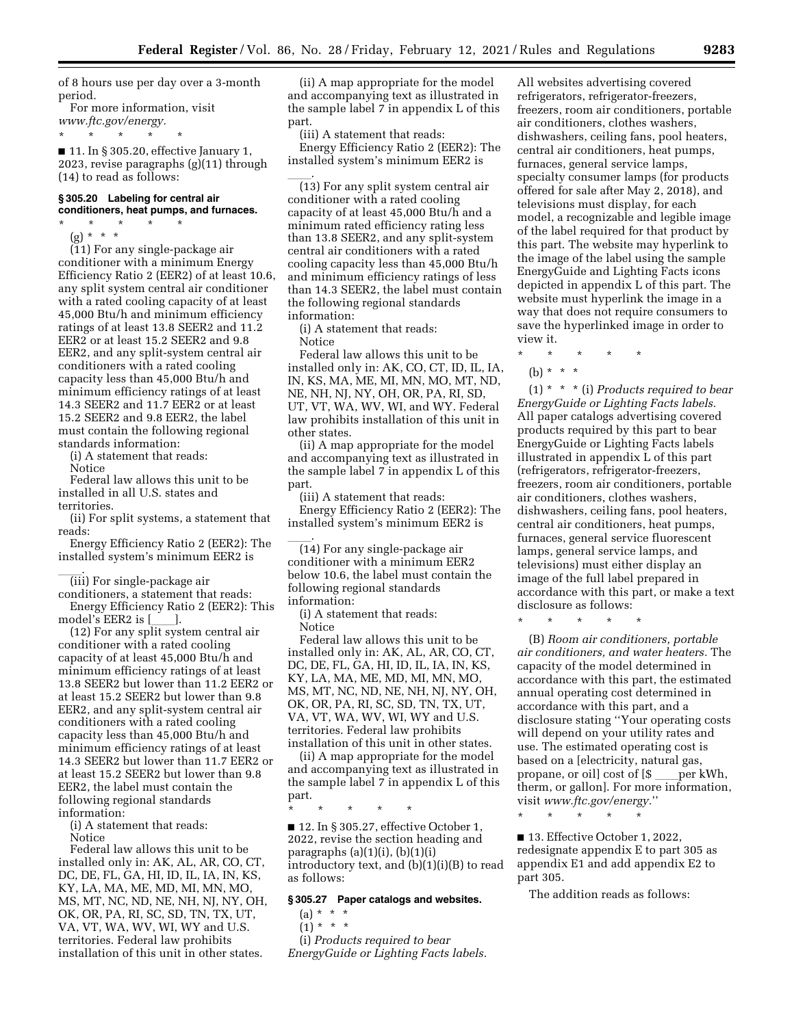of 8 hours use per day over a 3-month period.

For more information, visit *[www.ftc.gov/energy.](http://www.ftc.gov/energy.)*  \* \* \* \* \*

 $\blacksquare$  11. In § 305.20, effective January 1, 2023, revise paragraphs (g)(11) through (14) to read as follows:

#### **§ 305.20 Labeling for central air conditioners, heat pumps, and furnaces.**

\* \* \* \* \*

(g) \* \* \*

(11) For any single-package air conditioner with a minimum Energy Efficiency Ratio 2 (EER2) of at least 10.6, any split system central air conditioner with a rated cooling capacity of at least 45,000 Btu/h and minimum efficiency ratings of at least 13.8 SEER2 and 11.2 EER2 or at least 15.2 SEER2 and 9.8 EER2, and any split-system central air conditioners with a rated cooling capacity less than 45,000 Btu/h and minimum efficiency ratings of at least 14.3 SEER2 and 11.7 EER2 or at least 15.2 SEER2 and 9.8 EER2, the label must contain the following regional standards information:

(i) A statement that reads:

Notice

Federal law allows this unit to be installed in all U.S. states and territories.

(ii) For split systems, a statement that reads:

Energy Efficiency Ratio 2 (EER2): The installed system's minimum EER2 is

\_\_\_\_\_\_\_.<br>(iii) For single-package air

conditioners, a statement that reads: Energy Efficiency Ratio 2 (EER2): This

model's EER2 is [\_\_\_\_].<br>(12) For any split system central air conditioner with a rated cooling capacity of at least 45,000 Btu/h and minimum efficiency ratings of at least 13.8 SEER2 but lower than 11.2 EER2 or at least 15.2 SEER2 but lower than 9.8 EER2, and any split-system central air conditioners with a rated cooling capacity less than 45,000 Btu/h and minimum efficiency ratings of at least 14.3 SEER2 but lower than 11.7 EER2 or at least 15.2 SEER2 but lower than 9.8 EER2, the label must contain the following regional standards information:

(i) A statement that reads:

Notice

Federal law allows this unit to be installed only in: AK, AL, AR, CO, CT, DC, DE, FL, GA, HI, ID, IL, IA, IN, KS, KY, LA, MA, ME, MD, MI, MN, MO, MS, MT, NC, ND, NE, NH, NJ, NY, OH, OK, OR, PA, RI, SC, SD, TN, TX, UT, VA, VT, WA, WV, WI, WY and U.S. territories. Federal law prohibits installation of this unit in other states.

(ii) A map appropriate for the model and accompanying text as illustrated in the sample label 7 in appendix L of this part.

(iii) A statement that reads: Energy Efficiency Ratio 2 (EER2): The installed system's minimum EER2 is

ll. (13) For any split system central air conditioner with a rated cooling capacity of at least 45,000 Btu/h and a minimum rated efficiency rating less than 13.8 SEER2, and any split-system central air conditioners with a rated cooling capacity less than 45,000 Btu/h and minimum efficiency ratings of less than 14.3 SEER2, the label must contain the following regional standards information:

(i) A statement that reads:

Notice

Federal law allows this unit to be installed only in: AK, CO, CT, ID, IL, IA, IN, KS, MA, ME, MI, MN, MO, MT, ND, NE, NH, NJ, NY, OH, OR, PA, RI, SD, UT, VT, WA, WV, WI, and WY. Federal law prohibits installation of this unit in other states.

(ii) A map appropriate for the model and accompanying text as illustrated in the sample label 7 in appendix L of this part.

(iii) A statement that reads: Energy Efficiency Ratio 2 (EER2): The installed system's minimum EER2 is

\_\_\_\_\_\_.<br>(14) For any single-package air conditioner with a minimum EER2 below 10.6, the label must contain the following regional standards information:

(i) A statement that reads: **Notice** 

Federal law allows this unit to be installed only in: AK, AL, AR, CO, CT, DC, DE, FL, GA, HI, ID, IL, IA, IN, KS, KY, LA, MA, ME, MD, MI, MN, MO, MS, MT, NC, ND, NE, NH, NJ, NY, OH, OK, OR, PA, RI, SC, SD, TN, TX, UT, VA, VT, WA, WV, WI, WY and U.S. territories. Federal law prohibits installation of this unit in other states.

(ii) A map appropriate for the model and accompanying text as illustrated in the sample label 7 in appendix L of this part.

\* \* \* \* \*

■ 12. In § 305.27, effective October 1, 2022, revise the section heading and paragraphs  $(a)(1)(i)$ ,  $(b)(1)(i)$ introductory text, and (b)(1)(i)(B) to read as follows:

### **§ 305.27 Paper catalogs and websites.**

- $(a) * * * *$
- $(1) * * * *$

(i) *Products required to bear EnergyGuide or Lighting Facts labels.*  All websites advertising covered refrigerators, refrigerator-freezers, freezers, room air conditioners, portable air conditioners, clothes washers, dishwashers, ceiling fans, pool heaters, central air conditioners, heat pumps, furnaces, general service lamps, specialty consumer lamps (for products offered for sale after May 2, 2018), and televisions must display, for each model, a recognizable and legible image of the label required for that product by this part. The website may hyperlink to the image of the label using the sample EnergyGuide and Lighting Facts icons depicted in appendix L of this part. The website must hyperlink the image in a way that does not require consumers to save the hyperlinked image in order to view it.

\* \* \* \* \*

(b)  $* * * *$ 

(1) \* \* \* (i) *Products required to bear EnergyGuide or Lighting Facts labels.*  All paper catalogs advertising covered products required by this part to bear EnergyGuide or Lighting Facts labels illustrated in appendix L of this part (refrigerators, refrigerator-freezers, freezers, room air conditioners, portable air conditioners, clothes washers, dishwashers, ceiling fans, pool heaters, central air conditioners, heat pumps, furnaces, general service fluorescent lamps, general service lamps, and televisions) must either display an image of the full label prepared in accordance with this part, or make a text disclosure as follows:

\* \* \* \* \*

(B) *Room air conditioners, portable air conditioners, and water heaters.* The capacity of the model determined in accordance with this part, the estimated annual operating cost determined in accordance with this part, and a disclosure stating ''Your operating costs will depend on your utility rates and use. The estimated operating cost is based on a [electricity, natural gas, propane, or oil] cost of [\$ \_\_\_\_per kWh,<br>therm, or gallon]. For more information, visit *[www.ftc.gov/energy.](http://www.ftc.gov/energy.)*''

\* \* \* \* \*

■ 13. Effective October 1, 2022, redesignate appendix E to part 305 as appendix E1 and add appendix E2 to part 305.

The addition reads as follows: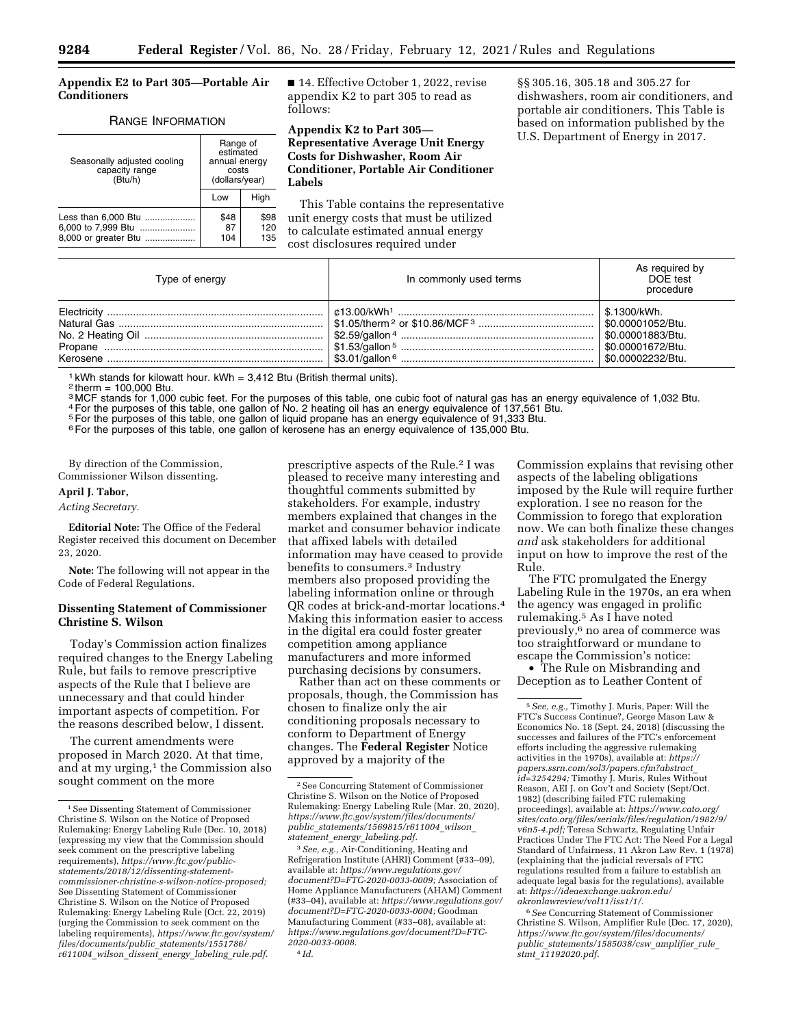### **Appendix E2 to Part 305—Portable Air Conditioners**

#### RANGE INFORMATION

| Seasonally adjusted cooling<br>capacity range<br>(Btu/h)          | Range of<br>estimated<br>annual energy<br>costs<br>(dollars/year) |                    |
|-------------------------------------------------------------------|-------------------------------------------------------------------|--------------------|
|                                                                   | Low                                                               | High               |
| Less than 6,000 Btu<br>6,000 to 7,999 Btu<br>8,000 or greater Btu | \$48<br>87<br>104                                                 | \$98<br>120<br>135 |

■ 14. Effective October 1, 2022, revise appendix K2 to part 305 to read as follows:

**Appendix K2 to Part 305— Representative Average Unit Energy Costs for Dishwasher, Room Air Conditioner, Portable Air Conditioner Labels** 

This Table contains the representative unit energy costs that must be utilized to calculate estimated annual energy cost disclosures required under

§§ 305.16, 305.18 and 305.27 for dishwashers, room air conditioners, and portable air conditioners. This Table is based on information published by the U.S. Department of Energy in 2017.

| Type of energy | In commonly used terms                                                  | As required by<br>DOE test<br>procedure          |
|----------------|-------------------------------------------------------------------------|--------------------------------------------------|
|                | 「\$3.01/gallon <sup>6</sup> ……………………………………………………………   \$0.00002232/Btu. | <sup>∣</sup> \$.1300/kWh.<br>  \$0.00001883/Btu. |

<sup>1</sup> kWh stands for kilowatt hour. kWh =  $3,412$  Btu (British thermal units).

 $2$  therm = 100,000 Btu.

3 MCF stands for 1,000 cubic feet. For the purposes of this table, one cubic foot of natural gas has an energy equivalence of 1,032 Btu.

4For the purposes of this table, one gallon of No. 2 heating oil has an energy equivalence of 137,561 Btu.

<sup>5</sup> For the purposes of this table, one gallon of liquid propane has an energy equivalence of 91,333 Btu.

6For the purposes of this table, one gallon of kerosene has an energy equivalence of 135,000 Btu.

By direction of the Commission, Commissioner Wilson dissenting.

# **April J. Tabor,**

## *Acting Secretary.*

**Editorial Note:** The Office of the Federal Register received this document on December 23, 2020.

**Note:** The following will not appear in the Code of Federal Regulations.

### **Dissenting Statement of Commissioner Christine S. Wilson**

Today's Commission action finalizes required changes to the Energy Labeling Rule, but fails to remove prescriptive aspects of the Rule that I believe are unnecessary and that could hinder important aspects of competition. For the reasons described below, I dissent.

The current amendments were proposed in March 2020. At that time, and at my urging,<sup>1</sup> the Commission also sought comment on the more

prescriptive aspects of the Rule.<sup>2</sup> I was pleased to receive many interesting and thoughtful comments submitted by stakeholders. For example, industry members explained that changes in the market and consumer behavior indicate that affixed labels with detailed information may have ceased to provide benefits to consumers.3 Industry members also proposed providing the labeling information online or through QR codes at brick-and-mortar locations.4 Making this information easier to access in the digital era could foster greater competition among appliance manufacturers and more informed purchasing decisions by consumers.

Rather than act on these comments or proposals, though, the Commission has chosen to finalize only the air conditioning proposals necessary to conform to Department of Energy changes. The **Federal Register** Notice approved by a majority of the

4 *Id.* 

Commission explains that revising other aspects of the labeling obligations imposed by the Rule will require further exploration. I see no reason for the Commission to forego that exploration now. We can both finalize these changes *and* ask stakeholders for additional input on how to improve the rest of the Rule.

The FTC promulgated the Energy Labeling Rule in the 1970s, an era when the agency was engaged in prolific rulemaking.5 As I have noted previously,6 no area of commerce was too straightforward or mundane to escape the Commission's notice:

• The Rule on Misbranding and Deception as to Leather Content of

6*See* Concurring Statement of Commissioner Christine S. Wilson, Amplifier Rule (Dec. 17, 2020), *[https://www.ftc.gov/system/files/documents/](https://www.ftc.gov/system/files/documents/public_statements/1585038/csw_amplifier_rule_stmt_11192020.pdf) public*\_*[statements/1585038/csw](https://www.ftc.gov/system/files/documents/public_statements/1585038/csw_amplifier_rule_stmt_11192020.pdf)*\_*amplifier*\_*rule*\_ *stmt*\_*[11192020.pdf.](https://www.ftc.gov/system/files/documents/public_statements/1585038/csw_amplifier_rule_stmt_11192020.pdf)* 

<sup>1</sup>See Dissenting Statement of Commissioner Christine S. Wilson on the Notice of Proposed Rulemaking: Energy Labeling Rule (Dec. 10, 2018) (expressing my view that the Commission should seek comment on the prescriptive labeling requirements), *[https://www.ftc.gov/public](https://www.ftc.gov/public-statements/2018/12/dissenting-statement-commissioner-christine-s-wilson-notice-proposed)[statements/2018/12/dissenting-statement](https://www.ftc.gov/public-statements/2018/12/dissenting-statement-commissioner-christine-s-wilson-notice-proposed)[commissioner-christine-s-wilson-notice-proposed;](https://www.ftc.gov/public-statements/2018/12/dissenting-statement-commissioner-christine-s-wilson-notice-proposed)*  See Dissenting Statement of Commissioner Christine S. Wilson on the Notice of Proposed Rulemaking: Energy Labeling Rule (Oct. 22, 2019) (urging the Commission to seek comment on the labeling requirements), *[https://www.ftc.gov/system/](https://www.ftc.gov/system/files/documents/public_statements/1551786/r611004_wilson_dissent_energy_labeling_rule.pdf) [files/documents/public](https://www.ftc.gov/system/files/documents/public_statements/1551786/r611004_wilson_dissent_energy_labeling_rule.pdf)*\_*statements/1551786/ r611004*\_*wilson*\_*dissent*\_*energy*\_*labeling*\_*[rule.pdf.](https://www.ftc.gov/system/files/documents/public_statements/1551786/r611004_wilson_dissent_energy_labeling_rule.pdf)* 

<sup>2</sup>See Concurring Statement of Commissioner Christine S. Wilson on the Notice of Proposed Rulemaking: Energy Labeling Rule (Mar. 20, 2020), *[https://www.ftc.gov/system/files/documents/](https://www.ftc.gov/system/files/documents/public_statements/1569815/r611004_wilson_statement_energy_labeling.pdf) public*\_*[statements/1569815/r611004](https://www.ftc.gov/system/files/documents/public_statements/1569815/r611004_wilson_statement_energy_labeling.pdf)*\_*wilson*\_ *statement*\_*energy*\_*[labeling.pdf.](https://www.ftc.gov/system/files/documents/public_statements/1569815/r611004_wilson_statement_energy_labeling.pdf)* 

<sup>3</sup>*See, e.g.,* Air-Conditioning, Heating and Refrigeration Institute (AHRI) Comment (#33–09), available at: *[https://www.regulations.gov/](https://www.regulations.gov/document?D=FTC-2020-0033-0009)  [document?D=FTC-2020-0033-0009;](https://www.regulations.gov/document?D=FTC-2020-0033-0009)* Association of Home Appliance Manufacturers (AHAM) Comment (#33–04), available at: *[https://www.regulations.gov/](https://www.regulations.gov/document?D=FTC-2020-0033-0004)  [document?D=FTC-2020-0033-0004;](https://www.regulations.gov/document?D=FTC-2020-0033-0004)* Goodman Manufacturing Comment (#33–08), available at: *[https://www.regulations.gov/document?D=FTC-](https://www.regulations.gov/document?D=FTC-2020-0033-0008)[2020-0033-0008.](https://www.regulations.gov/document?D=FTC-2020-0033-0008)* 

<sup>5</sup>*See, e.g.,* Timothy J. Muris, Paper: Will the FTC's Success Continue?, George Mason Law & Economics No. 18 (Sept. 24, 2018) (discussing the successes and failures of the FTC's enforcement efforts including the aggressive rulemaking activities in the 1970s), available at: *[https://](https://papers.ssrn.com/sol3/papers.cfm?abstract_id=3254294) [papers.ssrn.com/sol3/papers.cfm?abstract](https://papers.ssrn.com/sol3/papers.cfm?abstract_id=3254294)*\_ *[id=3254294;](https://papers.ssrn.com/sol3/papers.cfm?abstract_id=3254294)* Timothy J. Muris, Rules Without Reason, AEI J. on Gov't and Society (Sept/Oct. 1982) (describing failed FTC rulemaking proceedings), available at: *[https://www.cato.org/](https://www.cato.org/sites/cato.org/files/serials/files/regulation/1982/9/v6n5-4.pdf)  [sites/cato.org/files/serials/files/regulation/1982/9/](https://www.cato.org/sites/cato.org/files/serials/files/regulation/1982/9/v6n5-4.pdf) [v6n5-4.pdf;](https://www.cato.org/sites/cato.org/files/serials/files/regulation/1982/9/v6n5-4.pdf)* Teresa Schwartz, Regulating Unfair Practices Under The FTC Act: The Need For a Legal Standard of Unfairness, 11 Akron Law Rev. 1 (1978) (explaining that the judicial reversals of FTC regulations resulted from a failure to establish an adequate legal basis for the regulations), available at: *[https://ideaexchange.uakron.edu/](https://ideaexchange.uakron.edu/akronlawreview/vol11/iss1/1/) [akronlawreview/vol11/iss1/1/.](https://ideaexchange.uakron.edu/akronlawreview/vol11/iss1/1/)*